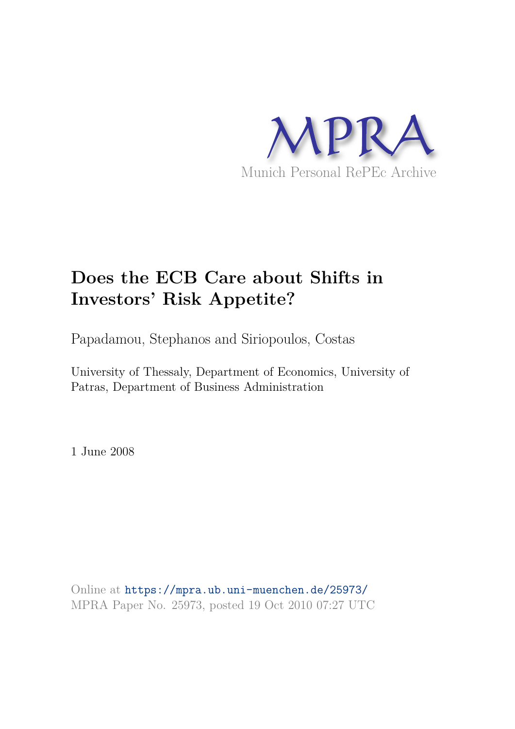

# **Does the ECB Care about Shifts in Investors' Risk Appetite?**

Papadamou, Stephanos and Siriopoulos, Costas

University of Thessaly, Department of Economics, University of Patras, Department of Business Administration

1 June 2008

Online at https://mpra.ub.uni-muenchen.de/25973/ MPRA Paper No. 25973, posted 19 Oct 2010 07:27 UTC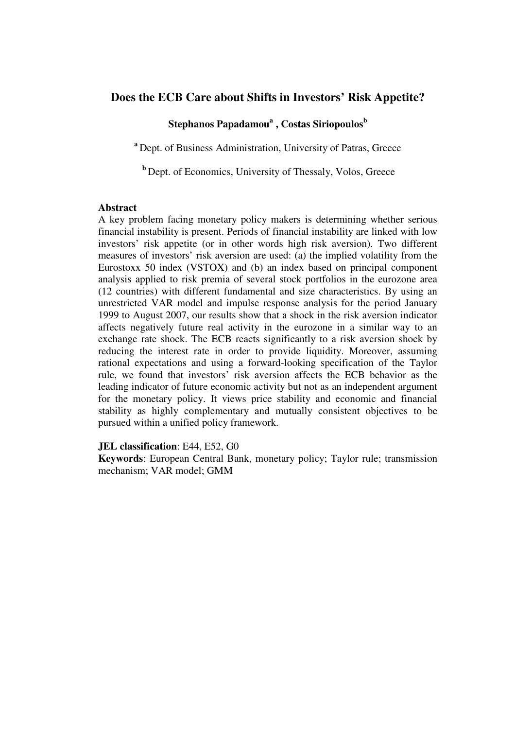# **Does the ECB Care about Shifts in Investors' Risk Appetite?**

# **Stephanos Papadamou<sup>a</sup> , Costas Siriopoulos<sup>b</sup>**

<sup>a</sup> Dept. of Business Administration, University of Patras, Greece

**b** Dept. of Economics, University of Thessaly, Volos, Greece

#### **Abstract**

A key problem facing monetary policy makers is determining whether serious financial instability is present. Periods of financial instability are linked with low investors' risk appetite (or in other words high risk aversion). Two different measures of investors' risk aversion are used: (a) the implied volatility from the Eurostoxx 50 index (VSTOX) and (b) an index based on principal component analysis applied to risk premia of several stock portfolios in the eurozone area (12 countries) with different fundamental and size characteristics. By using an unrestricted VAR model and impulse response analysis for the period January 1999 to August 2007, our results show that a shock in the risk aversion indicator affects negatively future real activity in the eurozone in a similar way to an exchange rate shock. The ECB reacts significantly to a risk aversion shock by reducing the interest rate in order to provide liquidity. Moreover, assuming rational expectations and using a forward-looking specification of the Taylor rule, we found that investors' risk aversion affects the ECB behavior as the leading indicator of future economic activity but not as an independent argument for the monetary policy. It views price stability and economic and financial stability as highly complementary and mutually consistent objectives to be pursued within a unified policy framework.

#### **JEL classification**: E44, E52, G0

**Keywords**: European Central Bank, monetary policy; Taylor rule; transmission mechanism; VAR model; GMM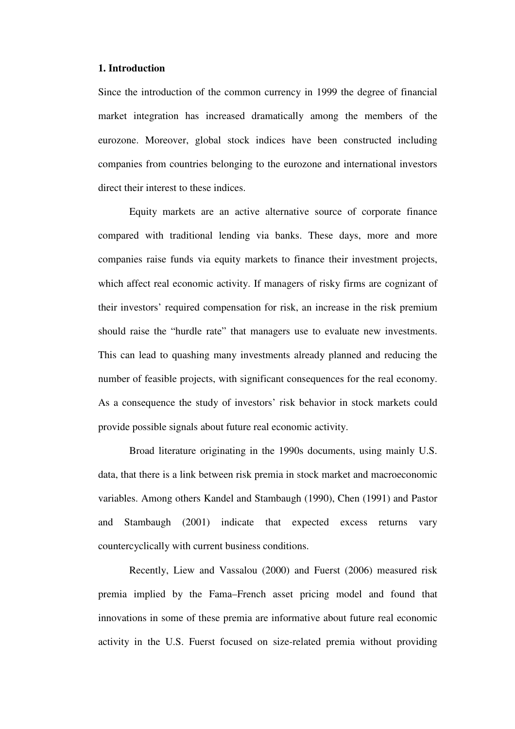#### **1. Introduction**

Since the introduction of the common currency in 1999 the degree of financial market integration has increased dramatically among the members of the eurozone. Moreover, global stock indices have been constructed including companies from countries belonging to the eurozone and international investors direct their interest to these indices.

Equity markets are an active alternative source of corporate finance compared with traditional lending via banks. These days, more and more companies raise funds via equity markets to finance their investment projects, which affect real economic activity. If managers of risky firms are cognizant of their investors' required compensation for risk, an increase in the risk premium should raise the "hurdle rate" that managers use to evaluate new investments. This can lead to quashing many investments already planned and reducing the number of feasible projects, with significant consequences for the real economy. As a consequence the study of investors' risk behavior in stock markets could provide possible signals about future real economic activity.

Broad literature originating in the 1990s documents, using mainly U.S. data, that there is a link between risk premia in stock market and macroeconomic variables. Among others Kandel and Stambaugh (1990), Chen (1991) and Pastor and Stambaugh (2001) indicate that expected excess returns vary countercyclically with current business conditions.

Recently, Liew and Vassalou (2000) and Fuerst (2006) measured risk premia implied by the Fama–French asset pricing model and found that innovations in some of these premia are informative about future real economic activity in the U.S. Fuerst focused on size-related premia without providing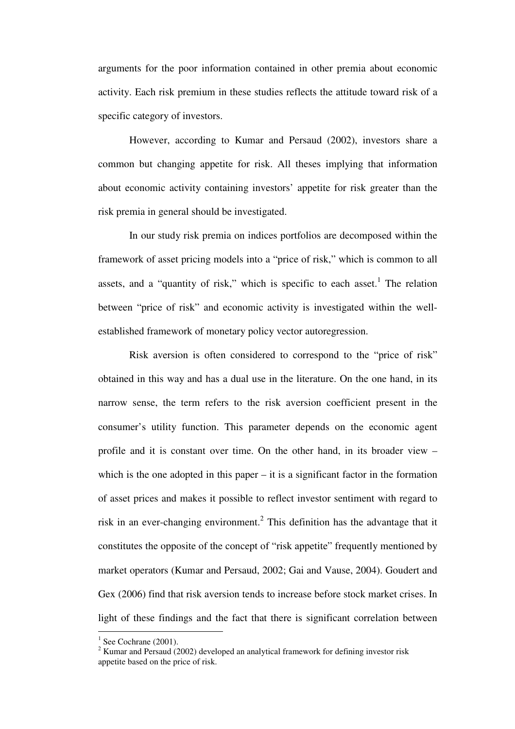arguments for the poor information contained in other premia about economic activity. Each risk premium in these studies reflects the attitude toward risk of a specific category of investors.

However, according to Kumar and Persaud (2002), investors share a common but changing appetite for risk. All theses implying that information about economic activity containing investors' appetite for risk greater than the risk premia in general should be investigated.

In our study risk premia on indices portfolios are decomposed within the framework of asset pricing models into a "price of risk," which is common to all assets, and a "quantity of risk," which is specific to each asset.<sup>1</sup> The relation between "price of risk" and economic activity is investigated within the wellestablished framework of monetary policy vector autoregression.

Risk aversion is often considered to correspond to the "price of risk" obtained in this way and has a dual use in the literature. On the one hand, in its narrow sense, the term refers to the risk aversion coefficient present in the consumer's utility function. This parameter depends on the economic agent profile and it is constant over time. On the other hand, in its broader view – which is the one adopted in this paper – it is a significant factor in the formation of asset prices and makes it possible to reflect investor sentiment with regard to risk in an ever-changing environment.<sup>2</sup> This definition has the advantage that it constitutes the opposite of the concept of "risk appetite" frequently mentioned by market operators (Kumar and Persaud, 2002; Gai and Vause, 2004). Goudert and Gex (2006) find that risk aversion tends to increase before stock market crises. In light of these findings and the fact that there is significant correlation between

 $\overline{a}$ 

 $<sup>1</sup>$  See Cochrane (2001).</sup>

 $2$  Kumar and Persaud (2002) developed an analytical framework for defining investor risk appetite based on the price of risk.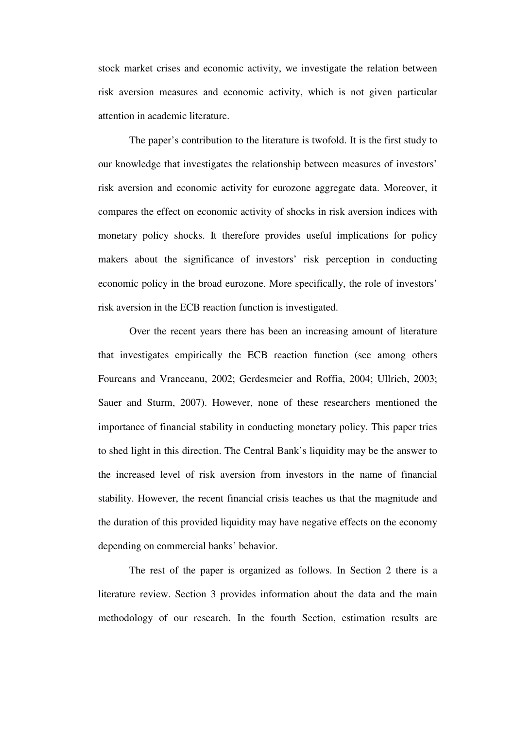stock market crises and economic activity, we investigate the relation between risk aversion measures and economic activity, which is not given particular attention in academic literature.

The paper's contribution to the literature is twofold. It is the first study to our knowledge that investigates the relationship between measures of investors' risk aversion and economic activity for eurozone aggregate data. Moreover, it compares the effect on economic activity of shocks in risk aversion indices with monetary policy shocks. It therefore provides useful implications for policy makers about the significance of investors' risk perception in conducting economic policy in the broad eurozone. More specifically, the role of investors' risk aversion in the ECB reaction function is investigated.

Over the recent years there has been an increasing amount of literature that investigates empirically the ECB reaction function (see among others Fourcans and Vranceanu, 2002; Gerdesmeier and Roffia, 2004; Ullrich, 2003; Sauer and Sturm, 2007). However, none of these researchers mentioned the importance of financial stability in conducting monetary policy. This paper tries to shed light in this direction. The Central Bank's liquidity may be the answer to the increased level of risk aversion from investors in the name of financial stability. However, the recent financial crisis teaches us that the magnitude and the duration of this provided liquidity may have negative effects on the economy depending on commercial banks' behavior.

The rest of the paper is organized as follows. In Section 2 there is a literature review. Section 3 provides information about the data and the main methodology of our research. In the fourth Section, estimation results are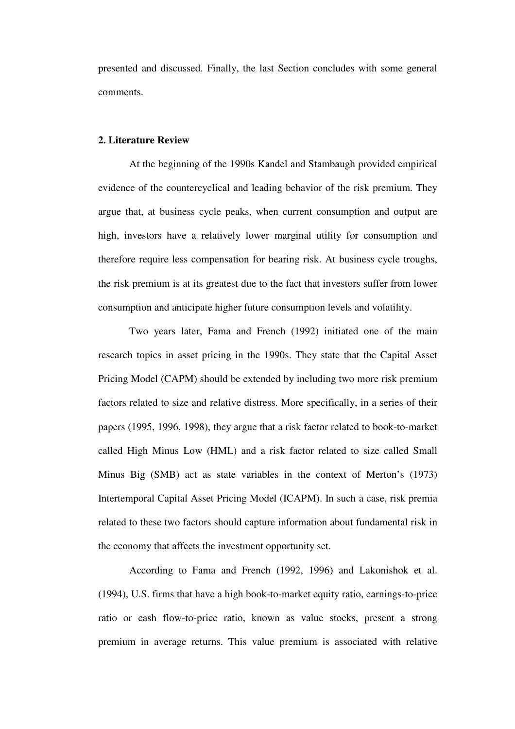presented and discussed. Finally, the last Section concludes with some general comments.

# **2. Literature Review**

At the beginning of the 1990s Kandel and Stambaugh provided empirical evidence of the countercyclical and leading behavior of the risk premium. They argue that, at business cycle peaks, when current consumption and output are high, investors have a relatively lower marginal utility for consumption and therefore require less compensation for bearing risk. At business cycle troughs, the risk premium is at its greatest due to the fact that investors suffer from lower consumption and anticipate higher future consumption levels and volatility.

Two years later, Fama and French (1992) initiated one of the main research topics in asset pricing in the 1990s. They state that the Capital Asset Pricing Model (CAPM) should be extended by including two more risk premium factors related to size and relative distress. More specifically, in a series of their papers (1995, 1996, 1998), they argue that a risk factor related to book-to-market called High Minus Low (HML) and a risk factor related to size called Small Minus Big (SMB) act as state variables in the context of Merton's (1973) Intertemporal Capital Asset Pricing Model (ICAPM). In such a case, risk premia related to these two factors should capture information about fundamental risk in the economy that affects the investment opportunity set.

According to Fama and French (1992, 1996) and Lakonishok et al. (1994), U.S. firms that have a high book-to-market equity ratio, earnings-to-price ratio or cash flow-to-price ratio, known as value stocks, present a strong premium in average returns. This value premium is associated with relative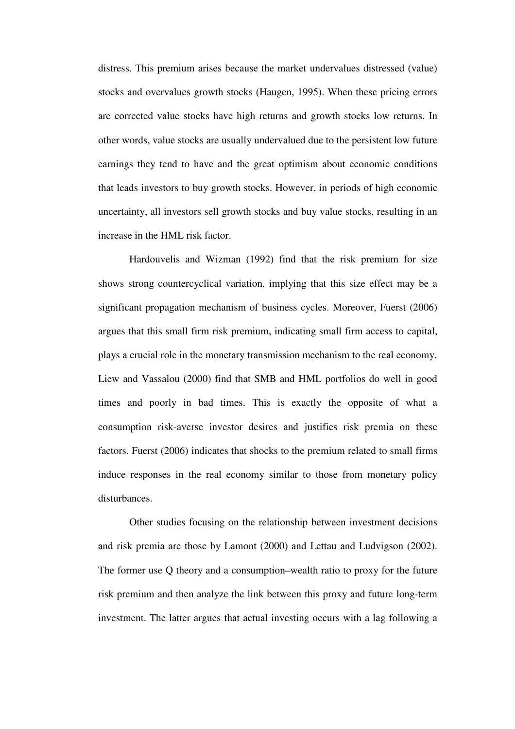distress. This premium arises because the market undervalues distressed (value) stocks and overvalues growth stocks (Haugen, 1995). When these pricing errors are corrected value stocks have high returns and growth stocks low returns. In other words, value stocks are usually undervalued due to the persistent low future earnings they tend to have and the great optimism about economic conditions that leads investors to buy growth stocks. However, in periods of high economic uncertainty, all investors sell growth stocks and buy value stocks, resulting in an increase in the HML risk factor.

Hardouvelis and Wizman (1992) find that the risk premium for size shows strong countercyclical variation, implying that this size effect may be a significant propagation mechanism of business cycles. Moreover, Fuerst (2006) argues that this small firm risk premium, indicating small firm access to capital, plays a crucial role in the monetary transmission mechanism to the real economy. Liew and Vassalou (2000) find that SMB and HML portfolios do well in good times and poorly in bad times. This is exactly the opposite of what a consumption risk-averse investor desires and justifies risk premia on these factors. Fuerst (2006) indicates that shocks to the premium related to small firms induce responses in the real economy similar to those from monetary policy disturbances.

Other studies focusing on the relationship between investment decisions and risk premia are those by Lamont (2000) and Lettau and Ludvigson (2002). The former use Q theory and a consumption–wealth ratio to proxy for the future risk premium and then analyze the link between this proxy and future long-term investment. The latter argues that actual investing occurs with a lag following a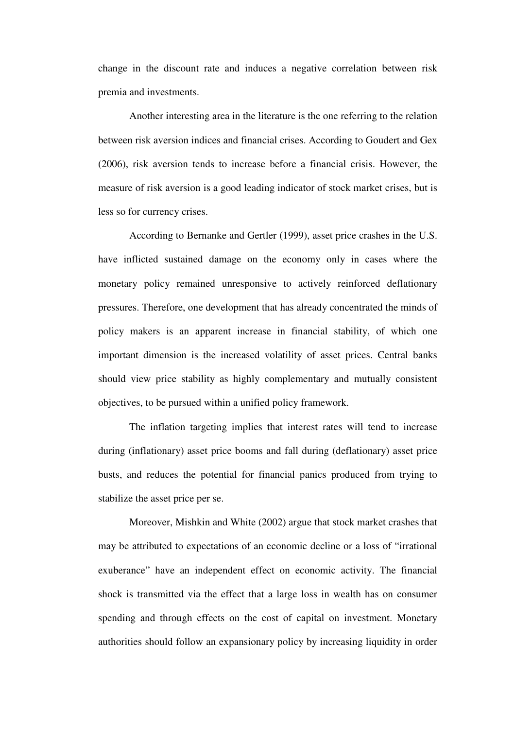change in the discount rate and induces a negative correlation between risk premia and investments.

Another interesting area in the literature is the one referring to the relation between risk aversion indices and financial crises. According to Goudert and Gex (2006), risk aversion tends to increase before a financial crisis. However, the measure of risk aversion is a good leading indicator of stock market crises, but is less so for currency crises.

According to Bernanke and Gertler (1999), asset price crashes in the U.S. have inflicted sustained damage on the economy only in cases where the monetary policy remained unresponsive to actively reinforced deflationary pressures. Therefore, one development that has already concentrated the minds of policy makers is an apparent increase in financial stability, of which one important dimension is the increased volatility of asset prices. Central banks should view price stability as highly complementary and mutually consistent objectives, to be pursued within a unified policy framework.

The inflation targeting implies that interest rates will tend to increase during (inflationary) asset price booms and fall during (deflationary) asset price busts, and reduces the potential for financial panics produced from trying to stabilize the asset price per se.

Moreover, Mishkin and White (2002) argue that stock market crashes that may be attributed to expectations of an economic decline or a loss of "irrational exuberance" have an independent effect on economic activity. The financial shock is transmitted via the effect that a large loss in wealth has on consumer spending and through effects on the cost of capital on investment. Monetary authorities should follow an expansionary policy by increasing liquidity in order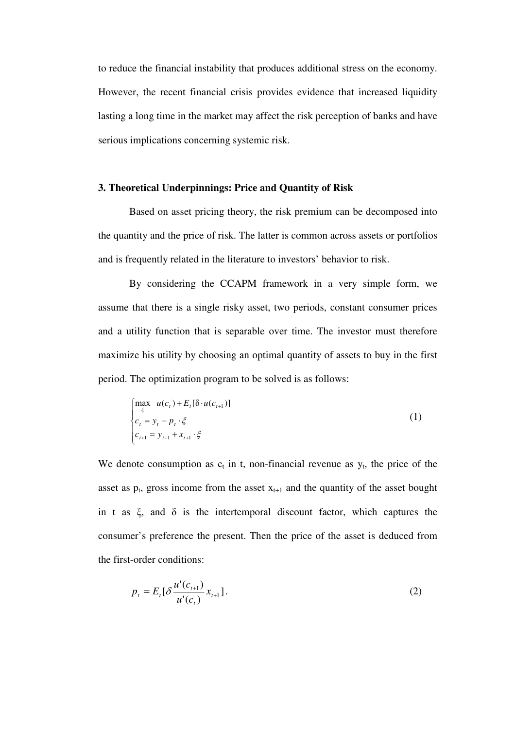to reduce the financial instability that produces additional stress on the economy. However, the recent financial crisis provides evidence that increased liquidity lasting a long time in the market may affect the risk perception of banks and have serious implications concerning systemic risk.

# **3. Theoretical Underpinnings: Price and Quantity of Risk**

Based on asset pricing theory, the risk premium can be decomposed into the quantity and the price of risk. The latter is common across assets or portfolios and is frequently related in the literature to investors' behavior to risk.

By considering the CCAPM framework in a very simple form, we assume that there is a single risky asset, two periods, constant consumer prices and a utility function that is separable over time. The investor must therefore maximize his utility by choosing an optimal quantity of assets to buy in the first period. The optimization program to be solved is as follows:

$$
\begin{cases}\n\max_{\xi} u(c_{t}) + E_{t}[\delta \cdot u(c_{t+1})] \\
c_{t} = y_{t} - p_{t} \cdot \xi \\
c_{t+1} = y_{t+1} + x_{t+1} \cdot \xi\n\end{cases}
$$
\n(1)

We denote consumption as  $c_t$  in t, non-financial revenue as  $y_t$ , the price of the asset as  $p_t$ , gross income from the asset  $x_{t+1}$  and the quantity of the asset bought in t as  $\xi$ , and  $\delta$  is the intertemporal discount factor, which captures the consumer's preference the present. Then the price of the asset is deduced from the first-order conditions:

$$
p_{t} = E_{t} \left[ \delta \frac{u'(c_{t+1})}{u'(c_{t})} x_{t+1} \right].
$$
 (2)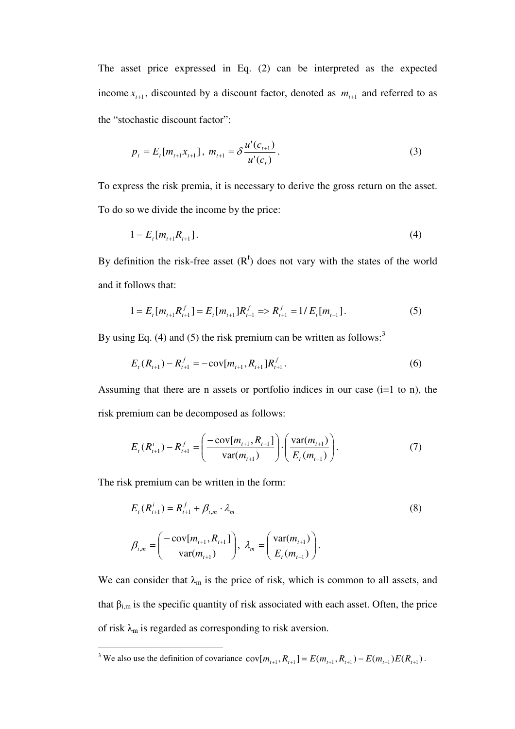The asset price expressed in Eq. (2) can be interpreted as the expected income  $x_{t+1}$ , discounted by a discount factor, denoted as  $m_{t+1}$  and referred to as the "stochastic discount factor":

$$
p_{t} = E_{t}[m_{t+1}x_{t+1}], \ m_{t+1} = \delta \frac{u'(c_{t+1})}{u'(c_{t})}.
$$
\n(3)

To express the risk premia, it is necessary to derive the gross return on the asset. To do so we divide the income by the price:

$$
1 = E_t[m_{t+1}R_{t+1}].
$$
\n(4)

By definition the risk-free asset  $(R<sup>f</sup>)$  does not vary with the states of the world and it follows that:

$$
1 = E_t[m_{t+1}R_{t+1}^f] = E_t[m_{t+1}R_{t+1}^f \Rightarrow R_{t+1}^f = 1/E_t[m_{t+1}].
$$
\n<sup>(5)</sup>

By using Eq. (4) and (5) the risk premium can be written as follows:<sup>3</sup>

$$
E_{t}(R_{t+1}) - R_{t+1}^{f} = -\text{cov}[m_{t+1}, R_{t+1}]R_{t+1}^{f}.
$$
\n(6)

Assuming that there are n assets or portfolio indices in our case  $(i=1 \text{ to } n)$ , the risk premium can be decomposed as follows:

$$
E_{t}(R_{t+1}^{i}) - R_{t+1}^{f} = \left(\frac{-\operatorname{cov}[m_{t+1}, R_{t+1}]}{\operatorname{var}(m_{t+1})}\right) \cdot \left(\frac{\operatorname{var}(m_{t+1})}{E_{t}(m_{t+1})}\right). \tag{7}
$$

The risk premium can be written in the form:

$$
E_{t}(R_{t+1}^{i}) = R_{t+1}^{f} + \beta_{i,m} \cdot \lambda_{m}
$$
\n
$$
\beta_{i,m} = \left(\frac{-\text{cov}[m_{t+1}, R_{t+1}]}{\text{var}(m_{t+1})}\right), \ \lambda_{m} = \left(\frac{\text{var}(m_{t+1})}{E_{t}(m_{t+1})}\right).
$$
\n(8)

We can consider that  $\lambda_m$  is the price of risk, which is common to all assets, and that  $\beta_{i,m}$  is the specific quantity of risk associated with each asset. Often, the price of risk  $\lambda_m$  is regarded as corresponding to risk aversion.

<sup>&</sup>lt;sup>3</sup> We also use the definition of covariance  $cov[m_{t+1}, R_{t+1}] = E(m_{t+1}, R_{t+1}) - E(m_{t+1})E(R_{t+1})$ .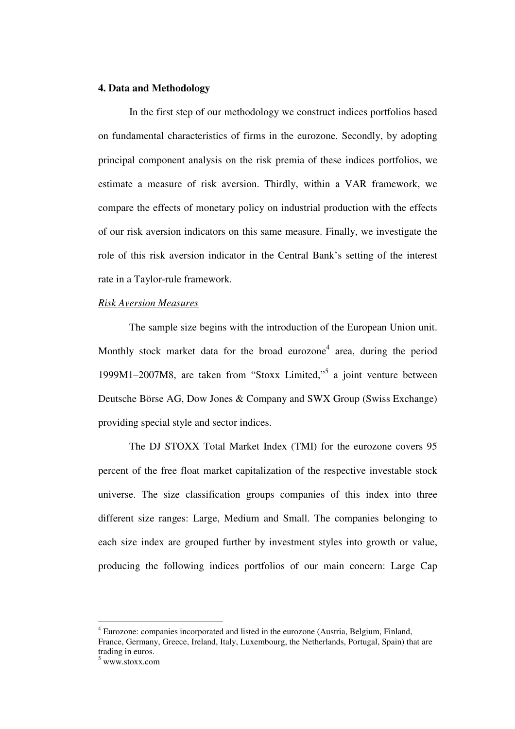## **4. Data and Methodology**

In the first step of our methodology we construct indices portfolios based on fundamental characteristics of firms in the eurozone. Secondly, by adopting principal component analysis on the risk premia of these indices portfolios, we estimate a measure of risk aversion. Thirdly, within a VAR framework, we compare the effects of monetary policy on industrial production with the effects of our risk aversion indicators on this same measure. Finally, we investigate the role of this risk aversion indicator in the Central Bank's setting of the interest rate in a Taylor-rule framework.

#### *Risk Aversion Measures*

The sample size begins with the introduction of the European Union unit. Monthly stock market data for the broad eurozone<sup>4</sup> area, during the period 1999M1–2007M8, are taken from "Stoxx Limited,"<sup>5</sup> a joint venture between Deutsche Börse AG, Dow Jones & Company and SWX Group (Swiss Exchange) providing special style and sector indices.

The DJ STOXX Total Market Index (TMI) for the eurozone covers 95 percent of the free float market capitalization of the respective investable stock universe. The size classification groups companies of this index into three different size ranges: Large, Medium and Small. The companies belonging to each size index are grouped further by investment styles into growth or value, producing the following indices portfolios of our main concern: Large Cap

 $\overline{a}$ 

<sup>&</sup>lt;sup>4</sup> Eurozone: companies incorporated and listed in the eurozone (Austria, Belgium, Finland, France, Germany, Greece, Ireland, Italy, Luxembourg, the Netherlands, Portugal, Spain) that are trading in euros.

<sup>5</sup> www.stoxx.com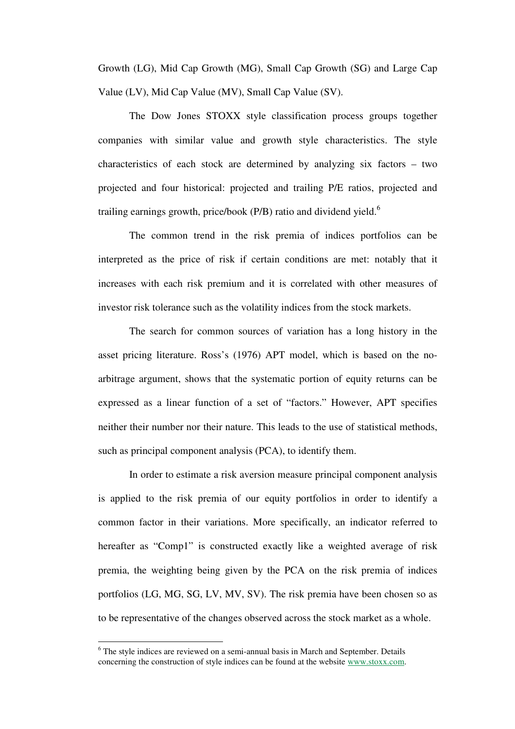Growth (LG), Mid Cap Growth (MG), Small Cap Growth (SG) and Large Cap Value (LV), Mid Cap Value (MV), Small Cap Value (SV).

The Dow Jones STOXX style classification process groups together companies with similar value and growth style characteristics. The style characteristics of each stock are determined by analyzing six factors – two projected and four historical: projected and trailing P/E ratios, projected and trailing earnings growth, price/book (P/B) ratio and dividend yield.<sup>6</sup>

The common trend in the risk premia of indices portfolios can be interpreted as the price of risk if certain conditions are met: notably that it increases with each risk premium and it is correlated with other measures of investor risk tolerance such as the volatility indices from the stock markets.

The search for common sources of variation has a long history in the asset pricing literature. Ross's (1976) APT model, which is based on the noarbitrage argument, shows that the systematic portion of equity returns can be expressed as a linear function of a set of "factors." However, APT specifies neither their number nor their nature. This leads to the use of statistical methods, such as principal component analysis (PCA), to identify them.

In order to estimate a risk aversion measure principal component analysis is applied to the risk premia of our equity portfolios in order to identify a common factor in their variations. More specifically, an indicator referred to hereafter as "Comp1" is constructed exactly like a weighted average of risk premia, the weighting being given by the PCA on the risk premia of indices portfolios (LG, MG, SG, LV, MV, SV). The risk premia have been chosen so as to be representative of the changes observed across the stock market as a whole.

 $\overline{a}$ 

<sup>&</sup>lt;sup>6</sup> The style indices are reviewed on a semi-annual basis in March and September. Details concerning the construction of style indices can be found at the website www.stoxx.com.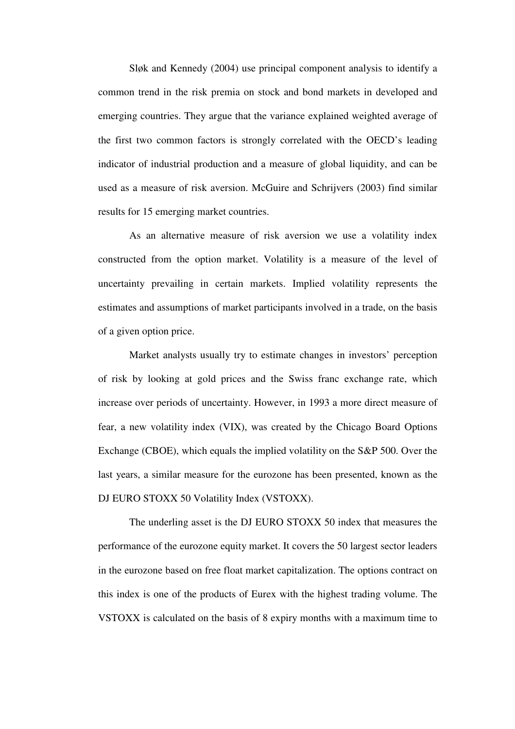Sløk and Kennedy (2004) use principal component analysis to identify a common trend in the risk premia on stock and bond markets in developed and emerging countries. They argue that the variance explained weighted average of the first two common factors is strongly correlated with the OECD's leading indicator of industrial production and a measure of global liquidity, and can be used as a measure of risk aversion. McGuire and Schrijvers (2003) find similar results for 15 emerging market countries.

As an alternative measure of risk aversion we use a volatility index constructed from the option market. Volatility is a measure of the level of uncertainty prevailing in certain markets. Implied volatility represents the estimates and assumptions of market participants involved in a trade, on the basis of a given option price.

Market analysts usually try to estimate changes in investors' perception of risk by looking at gold prices and the Swiss franc exchange rate, which increase over periods of uncertainty. However, in 1993 a more direct measure of fear, a new volatility index (VIX), was created by the Chicago Board Options Exchange (CBOE), which equals the implied volatility on the S&P 500. Over the last years, a similar measure for the eurozone has been presented, known as the DJ EURO STOXX 50 Volatility Index (VSTOXX).

The underling asset is the DJ EURO STOXX 50 index that measures the performance of the eurozone equity market. It covers the 50 largest sector leaders in the eurozone based on free float market capitalization. The options contract on this index is one of the products of Eurex with the highest trading volume. The VSTOXX is calculated on the basis of 8 expiry months with a maximum time to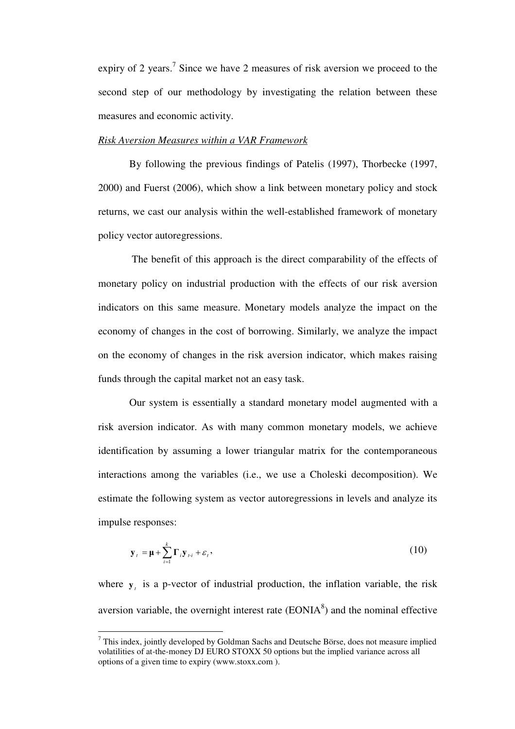expiry of 2 years.<sup>7</sup> Since we have 2 measures of risk aversion we proceed to the second step of our methodology by investigating the relation between these measures and economic activity.

#### *Risk Aversion Measures within a VAR Framework*

By following the previous findings of Patelis (1997), Thorbecke (1997, 2000) and Fuerst (2006), which show a link between monetary policy and stock returns, we cast our analysis within the well-established framework of monetary policy vector autoregressions.

 The benefit of this approach is the direct comparability of the effects of monetary policy on industrial production with the effects of our risk aversion indicators on this same measure. Monetary models analyze the impact on the economy of changes in the cost of borrowing. Similarly, we analyze the impact on the economy of changes in the risk aversion indicator, which makes raising funds through the capital market not an easy task.

Our system is essentially a standard monetary model augmented with a risk aversion indicator. As with many common monetary models, we achieve identification by assuming a lower triangular matrix for the contemporaneous interactions among the variables (i.e., we use a Choleski decomposition). We estimate the following system as vector autoregressions in levels and analyze its impulse responses:

$$
\mathbf{y}_{t} = \mathbf{\mu} + \sum_{i=1}^{k} \Gamma_{i} \mathbf{y}_{t} + \varepsilon_{t}, \qquad (10)
$$

where  $y_t$  is a p-vector of industrial production, the inflation variable, the risk aversion variable, the overnight interest rate  $(EONIA<sup>8</sup>)$  and the nominal effective

 $\overline{a}$ 

 $7$  This index, jointly developed by Goldman Sachs and Deutsche Börse, does not measure implied volatilities of at-the-money DJ EURO STOXX 50 options but the implied variance across all options of a given time to expiry (www.stoxx.com ).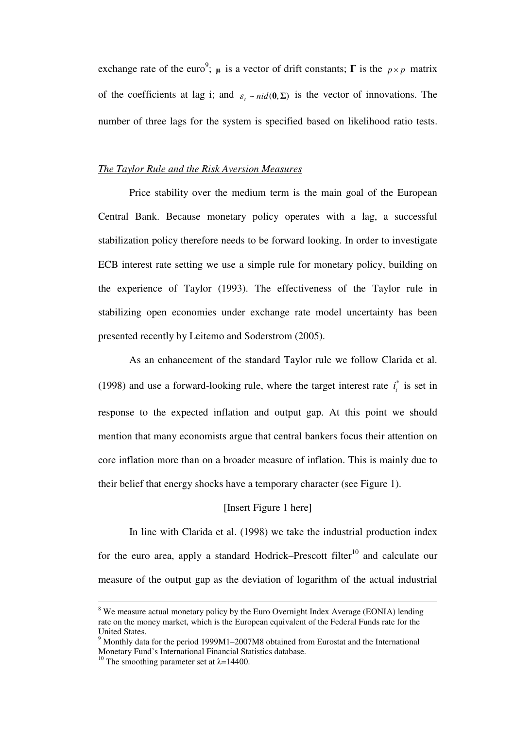exchange rate of the euro<sup>9</sup>;  $\mu$  is a vector of drift constants;  $\Gamma$  is the  $p \times p$  matrix of the coefficients at lag i; and  $\varepsilon$ <sub>*t*</sub> ~ *nid*(0,  $\Sigma$ ) is the vector of innovations. The number of three lags for the system is specified based on likelihood ratio tests.

#### *The Taylor Rule and the Risk Aversion Measures*

Price stability over the medium term is the main goal of the European Central Bank. Because monetary policy operates with a lag, a successful stabilization policy therefore needs to be forward looking. In order to investigate ECB interest rate setting we use a simple rule for monetary policy, building on the experience of Taylor (1993). The effectiveness of the Taylor rule in stabilizing open economies under exchange rate model uncertainty has been presented recently by Leitemo and Soderstrom (2005).

As an enhancement of the standard Taylor rule we follow Clarida et al. (1998) and use a forward-looking rule, where the target interest rate  $i_t^*$  is set in response to the expected inflation and output gap. At this point we should mention that many economists argue that central bankers focus their attention on core inflation more than on a broader measure of inflation. This is mainly due to their belief that energy shocks have a temporary character (see Figure 1).

## [Insert Figure 1 here]

In line with Clarida et al. (1998) we take the industrial production index for the euro area, apply a standard Hodrick–Prescott filter<sup>10</sup> and calculate our measure of the output gap as the deviation of logarithm of the actual industrial

<sup>&</sup>lt;sup>8</sup> We measure actual monetary policy by the Euro Overnight Index Average (EONIA) lending rate on the money market, which is the European equivalent of the Federal Funds rate for the United States.

 $9$  Monthly data for the period 1999M1–2007M8 obtained from Eurostat and the International Monetary Fund's International Financial Statistics database.

<sup>&</sup>lt;sup>10</sup> The smoothing parameter set at  $\lambda$ =14400.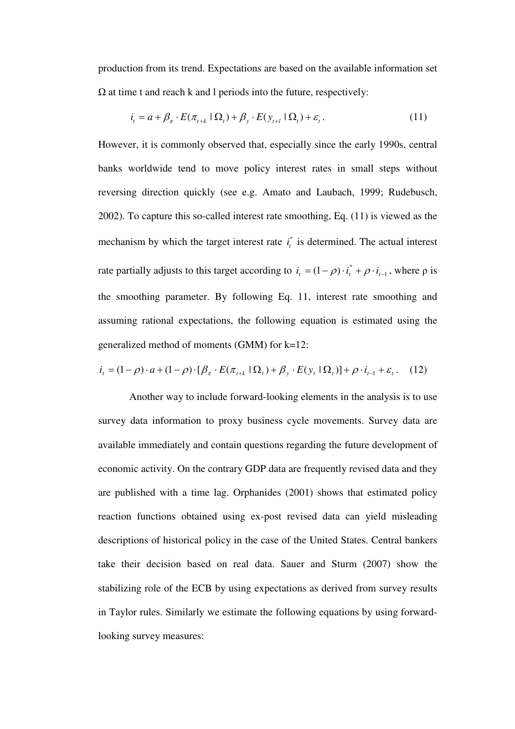production from its trend. Expectations are based on the available information set  $\Omega$  at time t and reach k and l periods into the future, respectively:

$$
i_t = a + \beta_{\pi} \cdot E(\pi_{t+k} | \Omega_t) + \beta_{y} \cdot E(y_{t+l} | \Omega_t) + \varepsilon_t.
$$
\n(11)

However, it is commonly observed that, especially since the early 1990s, central banks worldwide tend to move policy interest rates in small steps without reversing direction quickly (see e.g. Amato and Laubach, 1999; Rudebusch, 2002). To capture this so-called interest rate smoothing, Eq. (11) is viewed as the mechanism by which the target interest rate  $i_t^*$  is determined. The actual interest rate partially adjusts to this target according to  $i_t = (1 - \rho) \cdot i_t^* + \rho \cdot i_{t-1}$ , where  $\rho$  is the smoothing parameter. By following Eq. 11, interest rate smoothing and assuming rational expectations, the following equation is estimated using the generalized method of moments (GMM) for k=12:

$$
i_t = (1 - \rho) \cdot a + (1 - \rho) \cdot [\beta_{\pi} \cdot E(\pi_{t+k} | \Omega_t) + \beta_{y} \cdot E(y_t | \Omega_t)] + \rho \cdot i_{t-1} + \varepsilon_t. \tag{12}
$$

Another way to include forward-looking elements in the analysis is to use survey data information to proxy business cycle movements. Survey data are available immediately and contain questions regarding the future development of economic activity. On the contrary GDP data are frequently revised data and they are published with a time lag. Orphanides (2001) shows that estimated policy reaction functions obtained using ex-post revised data can yield misleading descriptions of historical policy in the case of the United States. Central bankers take their decision based on real data. Sauer and Sturm (2007) show the stabilizing role of the ECB by using expectations as derived from survey results in Taylor rules. Similarly we estimate the following equations by using forwardlooking survey measures: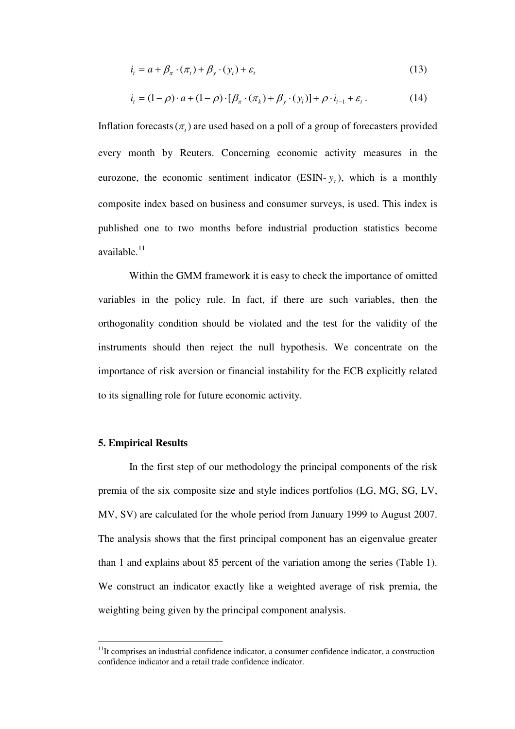$$
i_t = a + \beta_\pi \cdot (\pi_t) + \beta_\gamma \cdot (y_t) + \varepsilon_t \tag{13}
$$

$$
i_{t} = (1 - \rho) \cdot a + (1 - \rho) \cdot [\beta_{\pi} \cdot (\pi_{k}) + \beta_{y} \cdot (y_{l})] + \rho \cdot i_{t-1} + \varepsilon_{t}.
$$
 (14)

Inflation forecasts  $(\pi)$  are used based on a poll of a group of forecasters provided every month by Reuters. Concerning economic activity measures in the eurozone, the economic sentiment indicator (ESIN- $y_t$ ), which is a monthly composite index based on business and consumer surveys, is used. This index is published one to two months before industrial production statistics become available.<sup>11</sup>

Within the GMM framework it is easy to check the importance of omitted variables in the policy rule. In fact, if there are such variables, then the orthogonality condition should be violated and the test for the validity of the instruments should then reject the null hypothesis. We concentrate on the importance of risk aversion or financial instability for the ECB explicitly related to its signalling role for future economic activity.

#### **5. Empirical Results**

 $\overline{a}$ 

In the first step of our methodology the principal components of the risk premia of the six composite size and style indices portfolios (LG, MG, SG, LV, MV, SV) are calculated for the whole period from January 1999 to August 2007. The analysis shows that the first principal component has an eigenvalue greater than 1 and explains about 85 percent of the variation among the series (Table 1). We construct an indicator exactly like a weighted average of risk premia, the weighting being given by the principal component analysis.

 $11$ It comprises an industrial confidence indicator, a consumer confidence indicator, a construction confidence indicator and a retail trade confidence indicator.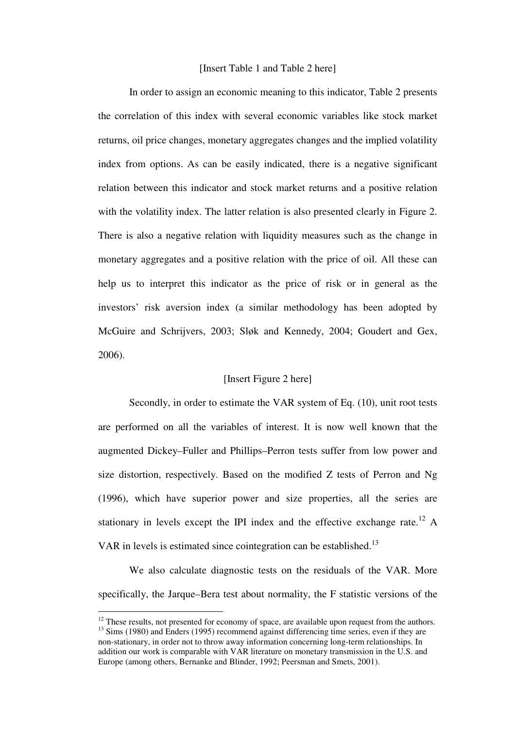#### [Insert Table 1 and Table 2 here]

In order to assign an economic meaning to this indicator, Table 2 presents the correlation of this index with several economic variables like stock market returns, oil price changes, monetary aggregates changes and the implied volatility index from options. As can be easily indicated, there is a negative significant relation between this indicator and stock market returns and a positive relation with the volatility index. The latter relation is also presented clearly in Figure 2. There is also a negative relation with liquidity measures such as the change in monetary aggregates and a positive relation with the price of oil. All these can help us to interpret this indicator as the price of risk or in general as the investors' risk aversion index (a similar methodology has been adopted by McGuire and Schrijvers, 2003; Sløk and Kennedy, 2004; Goudert and Gex, 2006).

## [Insert Figure 2 here]

Secondly, in order to estimate the VAR system of Eq. (10), unit root tests are performed on all the variables of interest. It is now well known that the augmented Dickey–Fuller and Phillips–Perron tests suffer from low power and size distortion, respectively. Based on the modified Z tests of Perron and Ng (1996), which have superior power and size properties, all the series are stationary in levels except the IPI index and the effective exchange rate.<sup>12</sup> A VAR in levels is estimated since cointegration can be established.<sup>13</sup>

We also calculate diagnostic tests on the residuals of the VAR. More specifically, the Jarque–Bera test about normality, the F statistic versions of the

 $\overline{a}$ 

 $12$  These results, not presented for economy of space, are available upon request from the authors. <sup>13</sup> Sims (1980) and Enders (1995) recommend against differencing time series, even if they are non-stationary, in order not to throw away information concerning long-term relationships. In addition our work is comparable with VAR literature on monetary transmission in the U.S. and Europe (among others, Bernanke and Blinder, 1992; Peersman and Smets, 2001).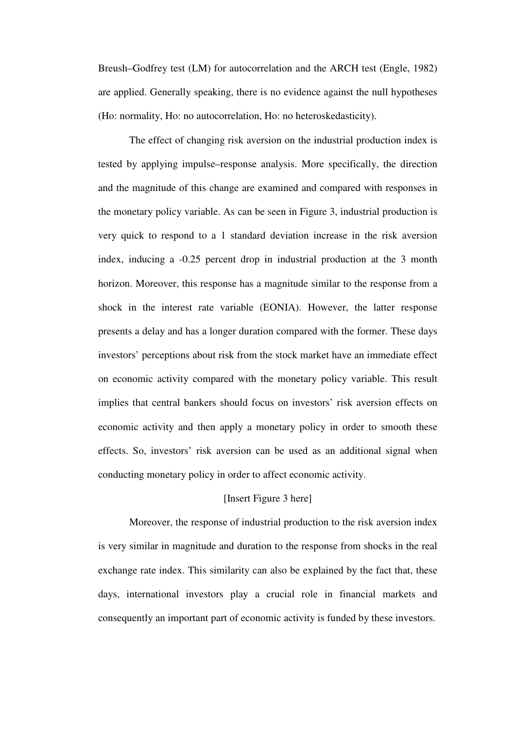Breush–Godfrey test (LM) for autocorrelation and the ARCH test (Engle, 1982) are applied. Generally speaking, there is no evidence against the null hypotheses (Ho: normality, Ho: no autocorrelation, Ho: no heteroskedasticity).

The effect of changing risk aversion on the industrial production index is tested by applying impulse–response analysis. More specifically, the direction and the magnitude of this change are examined and compared with responses in the monetary policy variable. As can be seen in Figure 3, industrial production is very quick to respond to a 1 standard deviation increase in the risk aversion index, inducing a -0.25 percent drop in industrial production at the 3 month horizon. Moreover, this response has a magnitude similar to the response from a shock in the interest rate variable (EONIA). However, the latter response presents a delay and has a longer duration compared with the former. These days investors' perceptions about risk from the stock market have an immediate effect on economic activity compared with the monetary policy variable. This result implies that central bankers should focus on investors' risk aversion effects on economic activity and then apply a monetary policy in order to smooth these effects. So, investors' risk aversion can be used as an additional signal when conducting monetary policy in order to affect economic activity.

# [Insert Figure 3 here]

Moreover, the response of industrial production to the risk aversion index is very similar in magnitude and duration to the response from shocks in the real exchange rate index. This similarity can also be explained by the fact that, these days, international investors play a crucial role in financial markets and consequently an important part of economic activity is funded by these investors.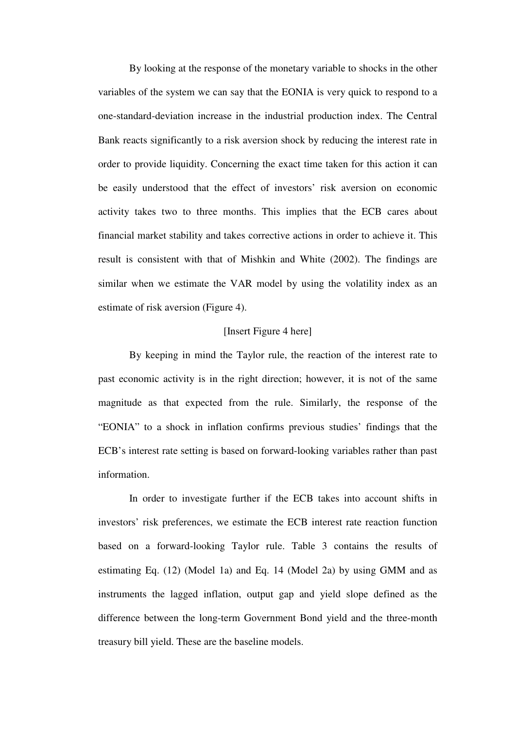By looking at the response of the monetary variable to shocks in the other variables of the system we can say that the EONIA is very quick to respond to a one-standard-deviation increase in the industrial production index. The Central Bank reacts significantly to a risk aversion shock by reducing the interest rate in order to provide liquidity. Concerning the exact time taken for this action it can be easily understood that the effect of investors' risk aversion on economic activity takes two to three months. This implies that the ECB cares about financial market stability and takes corrective actions in order to achieve it. This result is consistent with that of Mishkin and White (2002). The findings are similar when we estimate the VAR model by using the volatility index as an estimate of risk aversion (Figure 4).

#### [Insert Figure 4 here]

By keeping in mind the Taylor rule, the reaction of the interest rate to past economic activity is in the right direction; however, it is not of the same magnitude as that expected from the rule. Similarly, the response of the "EONIA" to a shock in inflation confirms previous studies' findings that the ECB's interest rate setting is based on forward-looking variables rather than past information.

In order to investigate further if the ECB takes into account shifts in investors' risk preferences, we estimate the ECB interest rate reaction function based on a forward-looking Taylor rule. Table 3 contains the results of estimating Eq. (12) (Model 1a) and Eq. 14 (Model 2a) by using GMM and as instruments the lagged inflation, output gap and yield slope defined as the difference between the long-term Government Bond yield and the three-month treasury bill yield. These are the baseline models.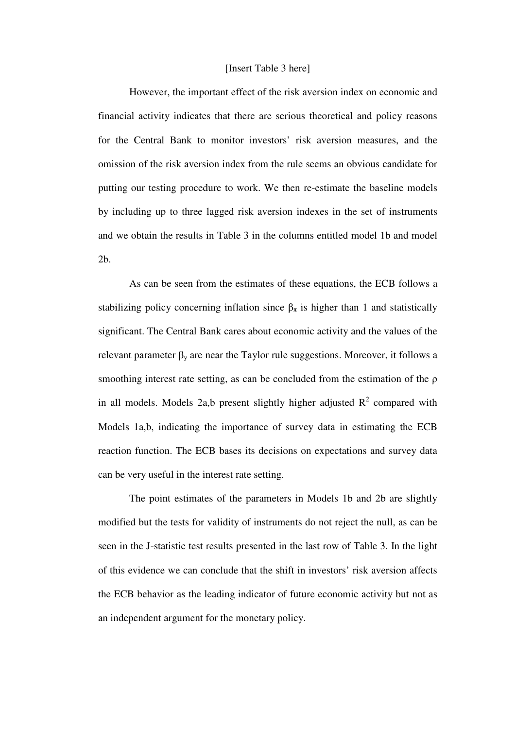#### [Insert Table 3 here]

However, the important effect of the risk aversion index on economic and financial activity indicates that there are serious theoretical and policy reasons for the Central Bank to monitor investors' risk aversion measures, and the omission of the risk aversion index from the rule seems an obvious candidate for putting our testing procedure to work. We then re-estimate the baseline models by including up to three lagged risk aversion indexes in the set of instruments and we obtain the results in Table 3 in the columns entitled model 1b and model 2b.

As can be seen from the estimates of these equations, the ECB follows a stabilizing policy concerning inflation since  $\beta_{\pi}$  is higher than 1 and statistically significant. The Central Bank cares about economic activity and the values of the relevant parameter  $\beta_y$  are near the Taylor rule suggestions. Moreover, it follows a smoothing interest rate setting, as can be concluded from the estimation of the  $\rho$ in all models. Models 2a,b present slightly higher adjusted  $R^2$  compared with Models 1a,b, indicating the importance of survey data in estimating the ECB reaction function. The ECB bases its decisions on expectations and survey data can be very useful in the interest rate setting.

The point estimates of the parameters in Models 1b and 2b are slightly modified but the tests for validity of instruments do not reject the null, as can be seen in the J-statistic test results presented in the last row of Table 3. In the light of this evidence we can conclude that the shift in investors' risk aversion affects the ECB behavior as the leading indicator of future economic activity but not as an independent argument for the monetary policy.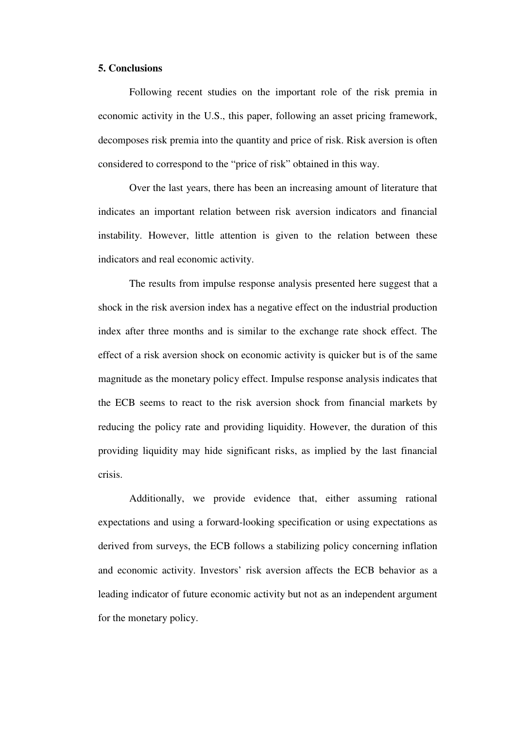#### **5. Conclusions**

Following recent studies on the important role of the risk premia in economic activity in the U.S., this paper, following an asset pricing framework, decomposes risk premia into the quantity and price of risk. Risk aversion is often considered to correspond to the "price of risk" obtained in this way.

Over the last years, there has been an increasing amount of literature that indicates an important relation between risk aversion indicators and financial instability. However, little attention is given to the relation between these indicators and real economic activity.

The results from impulse response analysis presented here suggest that a shock in the risk aversion index has a negative effect on the industrial production index after three months and is similar to the exchange rate shock effect. The effect of a risk aversion shock on economic activity is quicker but is of the same magnitude as the monetary policy effect. Impulse response analysis indicates that the ECB seems to react to the risk aversion shock from financial markets by reducing the policy rate and providing liquidity. However, the duration of this providing liquidity may hide significant risks, as implied by the last financial crisis.

Additionally, we provide evidence that, either assuming rational expectations and using a forward-looking specification or using expectations as derived from surveys, the ECB follows a stabilizing policy concerning inflation and economic activity. Investors' risk aversion affects the ECB behavior as a leading indicator of future economic activity but not as an independent argument for the monetary policy.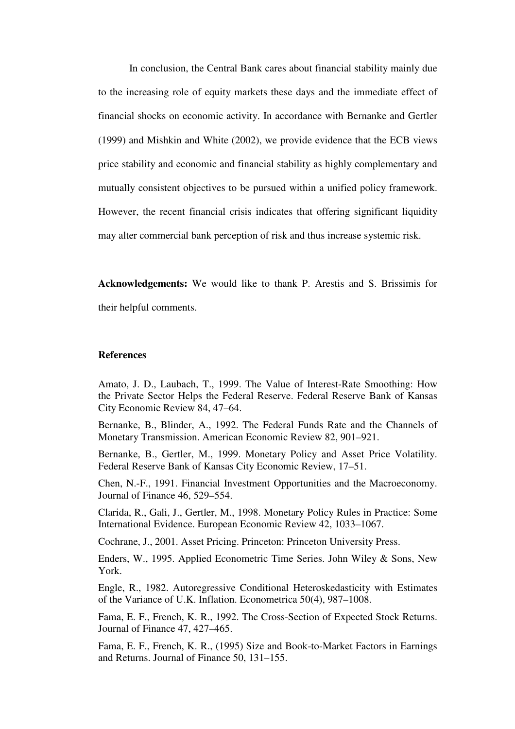In conclusion, the Central Bank cares about financial stability mainly due to the increasing role of equity markets these days and the immediate effect of financial shocks on economic activity. In accordance with Bernanke and Gertler (1999) and Mishkin and White (2002), we provide evidence that the ECB views price stability and economic and financial stability as highly complementary and mutually consistent objectives to be pursued within a unified policy framework. However, the recent financial crisis indicates that offering significant liquidity may alter commercial bank perception of risk and thus increase systemic risk.

**Acknowledgements:** We would like to thank P. Arestis and S. Brissimis for their helpful comments.

## **References**

Amato, J. D., Laubach, T., 1999. The Value of Interest-Rate Smoothing: How the Private Sector Helps the Federal Reserve. Federal Reserve Bank of Kansas City Economic Review 84, 47–64.

Bernanke, B., Blinder, A., 1992. The Federal Funds Rate and the Channels of Monetary Transmission. American Economic Review 82, 901–921.

Bernanke, B., Gertler, M., 1999. Monetary Policy and Asset Price Volatility. Federal Reserve Bank of Kansas City Economic Review, 17–51.

Chen, N.-F., 1991. Financial Investment Opportunities and the Macroeconomy. Journal of Finance 46, 529–554.

Clarida, R., Gali, J., Gertler, M., 1998. Monetary Policy Rules in Practice: Some International Evidence. European Economic Review 42, 1033–1067.

Cochrane, J., 2001. Asset Pricing. Princeton: Princeton University Press.

Enders, W., 1995. Applied Econometric Time Series. John Wiley & Sons, New York.

Engle, R., 1982. Autoregressive Conditional Heteroskedasticity with Estimates of the Variance of U.K. Inflation. Econometrica 50(4), 987–1008.

Fama, E. F., French, K. R., 1992. The Cross-Section of Expected Stock Returns. Journal of Finance 47, 427–465.

Fama, E. F., French, K. R., (1995) Size and Book-to-Market Factors in Earnings and Returns. Journal of Finance 50, 131–155.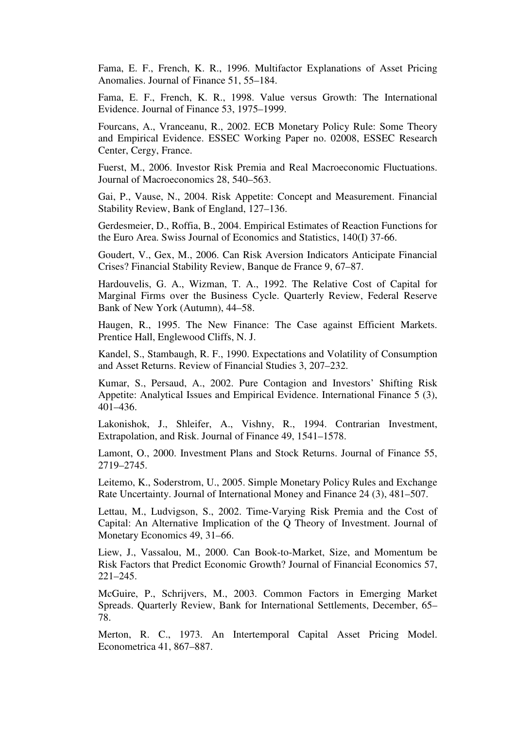Fama, E. F., French, K. R., 1996. Multifactor Explanations of Asset Pricing Anomalies. Journal of Finance 51, 55–184.

Fama, E. F., French, K. R., 1998. Value versus Growth: The International Evidence. Journal of Finance 53, 1975–1999.

Fourcans, A., Vranceanu, R., 2002. ECB Monetary Policy Rule: Some Theory and Empirical Evidence. ESSEC Working Paper no. 02008, ESSEC Research Center, Cergy, France.

Fuerst, M., 2006. Investor Risk Premia and Real Macroeconomic Fluctuations. Journal of Macroeconomics 28, 540–563.

Gai, P., Vause, N., 2004. Risk Appetite: Concept and Measurement. Financial Stability Review, Bank of England, 127–136.

Gerdesmeier, D., Roffia, B., 2004. Empirical Estimates of Reaction Functions for the Euro Area. Swiss Journal of Economics and Statistics, 140(I) 37-66.

Goudert, V., Gex, M., 2006. Can Risk Aversion Indicators Anticipate Financial Crises? Financial Stability Review, Banque de France 9, 67–87.

Hardouvelis, G. A., Wizman, T. A., 1992. The Relative Cost of Capital for Marginal Firms over the Business Cycle. Quarterly Review, Federal Reserve Bank of New York (Autumn), 44–58.

Haugen, R., 1995. The New Finance: The Case against Efficient Markets. Prentice Hall, Englewood Cliffs, N. J.

Kandel, S., Stambaugh, R. F., 1990. Expectations and Volatility of Consumption and Asset Returns. Review of Financial Studies 3, 207–232.

Kumar, S., Persaud, A., 2002. Pure Contagion and Investors' Shifting Risk Appetite: Analytical Issues and Empirical Evidence. International Finance 5 (3), 401–436.

Lakonishok, J., Shleifer, A., Vishny, R., 1994. Contrarian Investment, Extrapolation, and Risk. Journal of Finance 49, 1541–1578.

Lamont, O., 2000. Investment Plans and Stock Returns. Journal of Finance 55, 2719–2745.

Leitemo, K., Soderstrom, U., 2005. Simple Monetary Policy Rules and Exchange Rate Uncertainty. Journal of International Money and Finance 24 (3), 481–507.

Lettau, M., Ludvigson, S., 2002. Time-Varying Risk Premia and the Cost of Capital: An Alternative Implication of the Q Theory of Investment. Journal of Monetary Economics 49, 31–66.

Liew, J., Vassalou, M., 2000. Can Book-to-Market, Size, and Momentum be Risk Factors that Predict Economic Growth? Journal of Financial Economics 57, 221–245.

McGuire, P., Schrijvers, M., 2003. Common Factors in Emerging Market Spreads. Quarterly Review, Bank for International Settlements, December, 65– 78.

Merton, R. C., 1973. An Intertemporal Capital Asset Pricing Model. Econometrica 41, 867–887.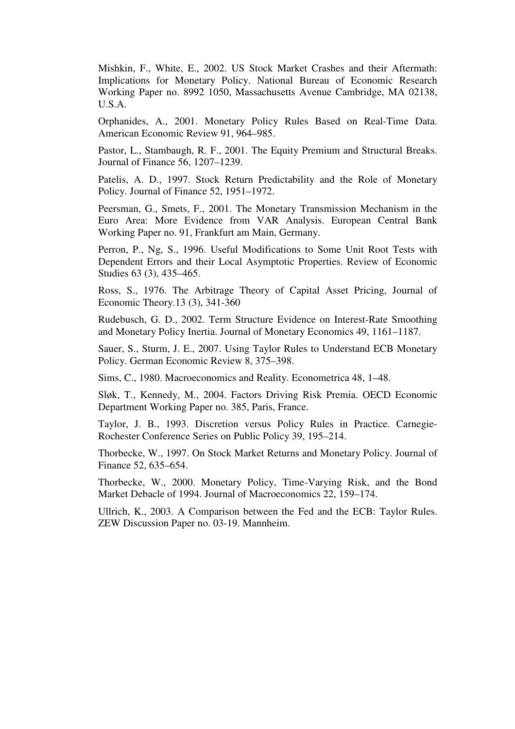Mishkin, F., White, E., 2002. US Stock Market Crashes and their Aftermath: Implications for Monetary Policy. National Bureau of Economic Research Working Paper no. 8992 1050, Massachusetts Avenue Cambridge, MA 02138, U.S.A.

Orphanides, A., 2001. Monetary Policy Rules Based on Real-Time Data. American Economic Review 91, 964–985.

Pastor, L., Stambaugh, R. F., 2001. The Equity Premium and Structural Breaks. Journal of Finance 56, 1207–1239.

Patelis, A. D., 1997. Stock Return Predictability and the Role of Monetary Policy. Journal of Finance 52, 1951–1972.

Peersman, G., Smets, F., 2001. The Monetary Transmission Mechanism in the Euro Area: More Evidence from VAR Analysis. European Central Bank Working Paper no. 91, Frankfurt am Main, Germany.

Perron, P., Ng, S., 1996. Useful Modifications to Some Unit Root Tests with Dependent Errors and their Local Asymptotic Properties. Review of Economic Studies 63 (3), 435–465.

Ross, S., 1976. The Arbitrage Theory of Capital Asset Pricing, Journal of Economic Theory.13 (3), 341-360

Rudebusch, G. D., 2002. Term Structure Evidence on Interest-Rate Smoothing and Monetary Policy Inertia. Journal of Monetary Economics 49, 1161–1187.

Sauer, S., Sturm, J. E., 2007. Using Taylor Rules to Understand ECB Monetary Policy. German Economic Review 8, 375–398.

Sims, C., 1980. Macroeconomics and Reality. Econometrica 48, 1–48.

Sløk, T., Kennedy, M., 2004. Factors Driving Risk Premia. OECD Economic Department Working Paper no. 385, Paris, France.

Taylor, J. B., 1993. Discretion versus Policy Rules in Practice. Carnegie-Rochester Conference Series on Public Policy 39, 195–214.

Thorbecke, W., 1997. On Stock Market Returns and Monetary Policy. Journal of Finance 52, 635–654.

Thorbecke, W., 2000. Monetary Policy, Time-Varying Risk, and the Bond Market Debacle of 1994. Journal of Macroeconomics 22, 159–174.

Ullrich, K., 2003. A Comparison between the Fed and the ECB: Taylor Rules. ZEW Discussion Paper no. 03-19. Mannheim.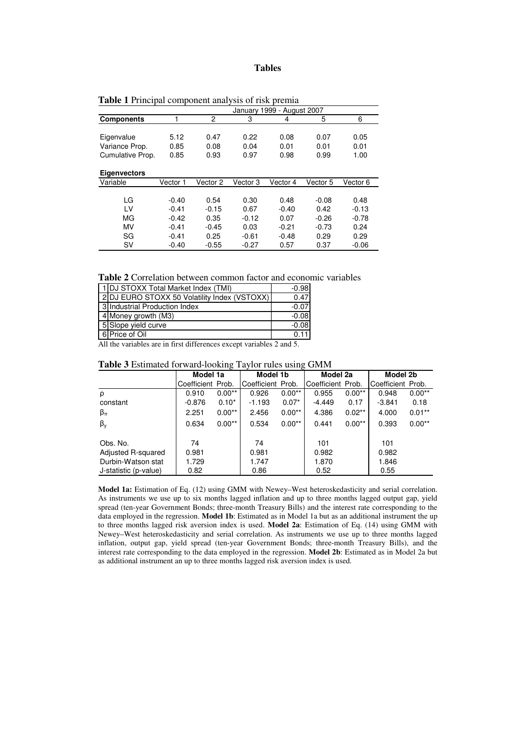#### **Tables**

|                     | 1999 - August 2007<br>Januarv |          |              |                 |          |          |  |  |
|---------------------|-------------------------------|----------|--------------|-----------------|----------|----------|--|--|
| <b>Components</b>   |                               | 2        | 3            | 4               | 5        | 6        |  |  |
|                     |                               |          |              |                 |          |          |  |  |
| Eigenvalue          | 5.12<br>0.47                  |          | 0.22<br>0.08 |                 | 0.07     | 0.05     |  |  |
| Variance Prop.      | 0.85<br>0.08                  |          | 0.04         | 0.01            | 0.01     | 0.01     |  |  |
| Cumulative Prop.    | 0.85                          |          | 0.97<br>0.98 |                 | 0.99     | 1.00     |  |  |
|                     |                               |          |              |                 |          |          |  |  |
| <b>Eigenvectors</b> |                               |          |              |                 |          |          |  |  |
| Variable            | Vector 1                      | Vector 2 | Vector 3     | Vector 4        | Vector 5 | Vector 6 |  |  |
|                     |                               |          |              |                 |          |          |  |  |
| LG                  | $-0.40$                       | 0.54     | 0.30         | 0.48            | $-0.08$  | 0.48     |  |  |
| LV                  | $-0.41$                       | $-0.15$  | 0.67         | $-0.40$         | 0.42     | $-0.13$  |  |  |
| MG<br>$-0.42$       |                               | 0.35     | $-0.12$      | 0.07<br>$-0.26$ |          | $-0.78$  |  |  |
| MV                  | $-0.41$                       | $-0.45$  | 0.03         | $-0.21$         | $-0.73$  | 0.24     |  |  |
| SG                  | $-0.41$                       | 0.25     | $-0.61$      | $-0.48$         | 0.29     | 0.29     |  |  |
| SV                  | $-0.40$                       | $-0.55$  | $-0.27$      | 0.57            | 0.37     | $-0.06$  |  |  |

**Table 1** Principal component analysis of risk premia

**Table 2** Correlation between common factor and economic variables

| 1 DJ STOXX Total Market Index (TMI)          | $-0.98$ |
|----------------------------------------------|---------|
| 2 DJ EURO STOXX 50 Volatility Index (VSTOXX) | 0.47    |
| 3 Industrial Production Index                | $-0.07$ |
| 4 Money growth (M3)                          | $-0.08$ |
| 5 Slope yield curve                          | $-0.08$ |
| 6 Price of Oil                               | 0.11    |

All the variables are in first differences except variables 2 and 5.

| <b>Table 3</b> Estimated forward-looking Taylor rules using GMM |  |  |  |
|-----------------------------------------------------------------|--|--|--|
|-----------------------------------------------------------------|--|--|--|

|                       | Model 1a          |          | Model 1b          |          | Model 2a          |           | Model 2b          |          |
|-----------------------|-------------------|----------|-------------------|----------|-------------------|-----------|-------------------|----------|
|                       | Coefficient Prob. |          | Coefficient Prob. |          | Coefficient Prob. |           | Coefficient Prob. |          |
| ρ                     | 0.910             | $0.00**$ | 0.926             | $0.00**$ | 0.955             | $0.00**$  | 0.948             | $0.00**$ |
| constant              | $-0.876$          | $0.10*$  | $-1.193$          | $0.07*$  | $-4.449$          | 0.17      | $-3.841$          | 0.18     |
| $\beta_{\pi}$         | 2.251             | $0.00**$ | 2.456             | $0.00**$ | 4.386             | $0.02***$ | 4.000             | $0.01**$ |
| $\beta_{y}$           | 0.634             | $0.00**$ | 0.534             | $0.00**$ | 0.441             | $0.00**$  | 0.393             | $0.00**$ |
| Obs. No.              | 74                |          | 74                |          | 101               |           | 101               |          |
| Adjusted R-squared    | 0.981             |          | 0.981             |          | 0.982             |           | 0.982             |          |
| Durbin-Watson stat    | 1.729             |          | 1.747             |          | 1.870             |           | 1.846             |          |
| J-statistic (p-value) | 0.82              |          | 0.86              |          | 0.52              |           | 0.55              |          |

**Model 1a:** Estimation of Eq. (12) using GMM with Newey–West heteroskedasticity and serial correlation. As instruments we use up to six months lagged inflation and up to three months lagged output gap, yield spread (ten-year Government Bonds; three-month Treasury Bills) and the interest rate corresponding to the data employed in the regression. **Model 1b**: Estimated as in Model 1a but as an additional instrument the up to three months lagged risk aversion index is used. **Model 2a**: Estimation of Eq. (14) using GMM with Newey–West heteroskedasticity and serial correlation. As instruments we use up to three months lagged inflation, output gap, yield spread (ten-year Government Bonds; three-month Treasury Bills), and the interest rate corresponding to the data employed in the regression. **Model 2b**: Estimated as in Model 2a but as additional instrument an up to three months lagged risk aversion index is used.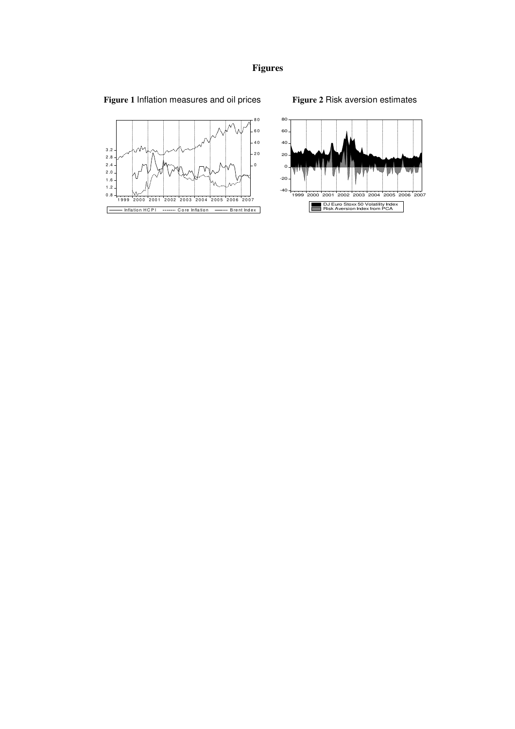# **Figures**

# **Figure 1** Inflation measures and oil prices

# **Figure 2** Risk aversion estimates



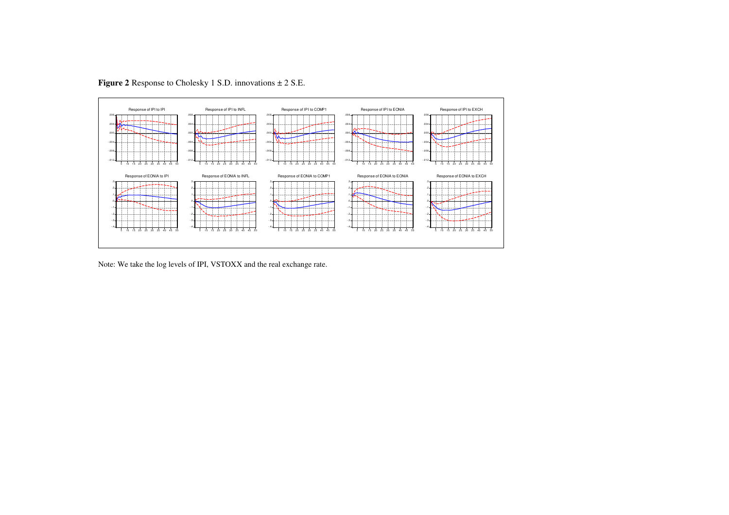

**Figure 2** Response to Cholesky 1 S.D. innovations ± 2 S.E.

Note: We take the log levels of IPI, VSTOXX and the real exchange rate.